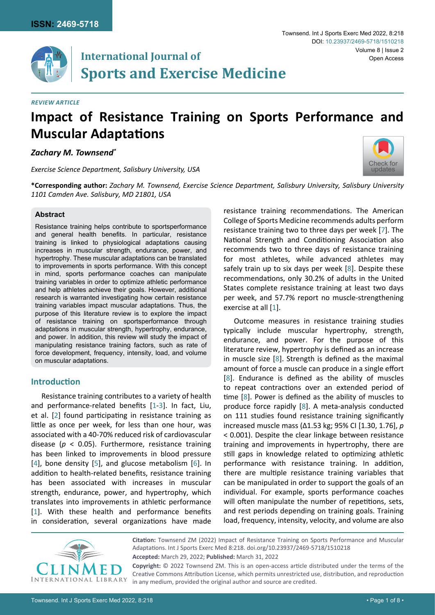

# **International Journal of Sports and Exercise Medicine**

#### *Review Article*

# **Impact of Resistance Training on Sports Performance and Muscular Adaptations**

*Zachary M. Townsend\**

*Exercise Science Department, Salisbury University, USA*



**\*Corresponding author:** *Zachary M. Townsend, Exercise Science Department, Salisbury University, Salisbury University 1101 Camden Ave. Salisbury, MD 21801, USA*

### **Abstract**

Resistance training helps contribute to sportsperformance and general health benefits. In particular, resistance training is linked to physiological adaptations causing increases in muscular strength, endurance, power, and hypertrophy. These muscular adaptations can be translated to improvements in sports performance. With this concept in mind, sports performance coaches can manipulate training variables in order to optimize athletic performance and help athletes achieve their goals. However, additional research is warranted investigating how certain resistance training variables impact muscular adaptations. Thus, the purpose of this literature review is to explore the impact of resistance training on sportsperformance through adaptations in muscular strength, hypertrophy, endurance, and power. In addition, this review will study the impact of manipulating resistance training factors, such as rate of force development, frequency, intensity, load, and volume on muscular adaptations.

# **Introduction**

Resistance training contributes to a variety of health and performance-related benefits [[1](#page-6-2)[-3](#page-6-3)]. In fact, Liu, et al. [[2](#page-6-4)] found participating in resistance training as little as once per week, for less than one hour, was associated with a 40-70% reduced risk of cardiovascular disease (*p* < 0.05). Furthermore, resistance training has been linked to improvements in blood pressure [[4](#page-6-5)], bone density [\[5\]](#page-6-6), and glucose metabolism [[6](#page-6-7)]. In addition to health-related benefits, resistance training has been associated with increases in muscular strength, endurance, power, and hypertrophy, which translates into improvements in athletic performance [[1](#page-6-2)]. With these health and performance benefits in consideration, several organizations have made

resistance training recommendations. The American College of Sports Medicine recommends adults perform resistance training two to three days per week [[7](#page-6-0)]. The National Strength and Conditioning Association also recommends two to three days of resistance training for most athletes, while advanced athletes may safely train up to six days per week [\[8](#page-6-1)]. Despite these recommendations, only 30.2% of adults in the United States complete resistance training at least two days per week, and 57.7% report no muscle-strengthening exercise at all [[1](#page-6-2)].

Outcome measures in resistance training studies typically include muscular hypertrophy, strength, endurance, and power. For the purpose of this literature review, hypertrophy is defined as an increase in muscle size [[8\]](#page-6-1). Strength is defined as the maximal amount of force a muscle can produce in a single effort [[8\]](#page-6-1). Endurance is defined as the ability of muscles to repeat contractions over an extended period of time [\[8\]](#page-6-1). Power is defined as the ability of muscles to produce force rapidly [[8\]](#page-6-1). A meta-analysis conducted on 111 studies found resistance training significantly increased muscle mass (Δ1.53 kg; 95% CI [1.30, 1.76], *p*  < 0.001). Despite the clear linkage between resistance training and improvements in hypertrophy, there are still gaps in knowledge related to optimizing athletic performance with resistance training. In addition, there are multiple resistance training variables that can be manipulated in order to support the goals of an individual. For example, sports performance coaches will often manipulate the number of repetitions, sets, and rest periods depending on training goals. Training load, frequency, intensity, velocity, and volume are also



**Citation:** Townsend ZM (2022) Impact of Resistance Training on Sports Performance and Muscular Adaptations. Int J Sports Exerc Med 8:218. [doi.org/10.23937/2469-5718/1510218](https://doi.org/10.23937/2469-5718/1510218) **Accepted:** March 29, 2022; **Published:** March 31, 2022

**Copyright:** © 2022 Townsend ZM. This is an open-access article distributed under the terms of the Creative Commons Attribution License, which permits unrestricted use, distribution, and reproduction in any medium, provided the original author and source are credited.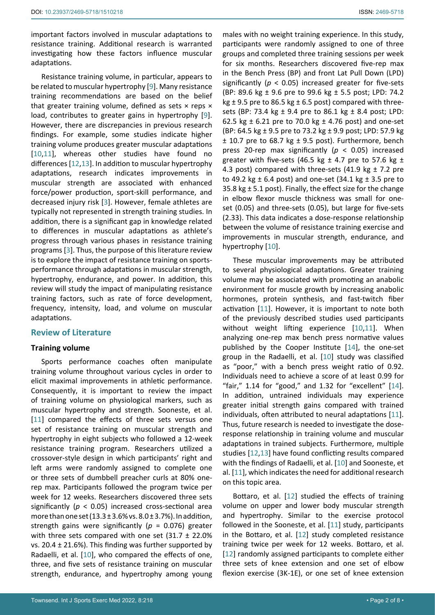important factors involved in muscular adaptations to resistance training. Additional research is warranted investigating how these factors influence muscular adaptations.

Resistance training volume, in particular, appears to be related to muscular hypertrophy [\[9\]](#page-6-13). Many resistance training recommendations are based on the belief that greater training volume, defined as sets  $\times$  reps  $\times$ load, contributes to greater gains in hypertrophy [[9](#page-6-13)]. However, there are discrepancies in previous research findings. For example, some studies indicate higher training volume produces greater muscular adaptations [[10,](#page-6-8)[11\]](#page-6-9), whereas other studies have found no differences [[12](#page-6-11)[,13\]](#page-6-12). In addition to muscular hypertrophy adaptations, research indicates improvements in muscular strength are associated with enhanced force/power production, sport-skill performance, and decreased injury risk [\[3\]](#page-6-3). However, female athletes are typically not represented in strength training studies. In addition, there is a significant gap in knowledge related to differences in muscular adaptations as athlete's progress through various phases in resistance training programs [[3](#page-6-3)]. Thus, the purpose of this literature review is to explore the impact of resistance training on sportsperformance through adaptations in muscular strength, hypertrophy, endurance, and power. In addition, this review will study the impact of manipulating resistance training factors, such as rate of force development, frequency, intensity, load, and volume on muscular adaptations.

# **Review of Literature**

## **Training volume**

Sports performance coaches often manipulate training volume throughout various cycles in order to elicit maximal improvements in athletic performance. Consequently, it is important to review the impact of training volume on physiological markers, such as muscular hypertrophy and strength. Sooneste, et al. [[11\]](#page-6-9) compared the effects of three sets versus one set of resistance training on muscular strength and hypertrophy in eight subjects who followed a 12-week resistance training program. Researchers utilized a crossover-style design in which participants' right and left arms were randomly assigned to complete one or three sets of dumbbell preacher curls at 80% onerep max. Participants followed the program twice per week for 12 weeks. Researchers discovered three sets significantly (*p* < 0.05) increased cross-sectional area more than one set  $(13.3 \pm 3.6\% \text{ vs. } 8.0 \pm 3.7\%)$ . In addition, strength gains were significantly ( $p = 0.076$ ) greater with three sets compared with one set  $(31.7 \pm 22.0\%)$ vs. 20.4  $\pm$  21.6%). This finding was further supported by Radaelli, et al. [[10](#page-6-8)], who compared the effects of one, three, and five sets of resistance training on muscular strength, endurance, and hypertrophy among young

males with no weight training experience. In this study, participants were randomly assigned to one of three groups and completed three training sessions per week for six months. Researchers discovered five-rep max in the Bench Press (BP) and front Lat Pull Down (LPD) significantly (*p* < 0.05) increased greater for five-sets (BP: 89.6 kg ± 9.6 pre to 99.6 kg ± 5.5 post; LPD: 74.2 kg  $\pm$  9.5 pre to 86.5 kg  $\pm$  6.5 post) compared with threesets (BP: 73.4 kg ± 9.4 pre to 86.1 kg ± 8.4 post; LPD: 62.5 kg  $\pm$  6.21 pre to 70.0 kg  $\pm$  4.76 post) and one-set (BP: 64.5 kg ± 9.5 pre to 73.2 kg ± 9.9 post; LPD: 57.9 kg  $±$  10.7 pre to 68.7 kg  $±$  9.5 post). Furthermore, bench press 20-rep max significantly (*p* < 0.05) increased greater with five-sets (46.5 kg  $\pm$  4.7 pre to 57.6 kg  $\pm$ 4.3 post) compared with three-sets (41.9 kg  $\pm$  7.2 pre to 49.2 kg  $\pm$  6.4 post) and one-set (34.1 kg  $\pm$  3.5 pre to 35.8 kg  $\pm$  5.1 post). Finally, the effect size for the change in elbow flexor muscle thickness was small for oneset (0.05) and three-sets (0.05), but large for five-sets (2.33). This data indicates a dose-response relationship between the volume of resistance training exercise and improvements in muscular strength, endurance, and hypertrophy [[10](#page-6-8)].

These muscular improvements may be attributed to several physiological adaptations. Greater training volume may be associated with promoting an anabolic environment for muscle growth by increasing anabolic hormones, protein synthesis, and fast-twitch fiber activation [[11](#page-6-9)]. However, it is important to note both of the previously described studies used participants without weight lifting experience [\[10,](#page-6-8)[11](#page-6-9)]. When analyzing one-rep max bench press normative values published by the Cooper Institute [[14\]](#page-6-10), the one-set group in the Radaelli, et al. [\[10](#page-6-8)] study was classified as "poor," with a bench press weight ratio of 0.92. Individuals need to achieve a score of at least 0.99 for "fair,"  $1.14$  for "good," and  $1.32$  for "excellent"  $[14]$ . In addition, untrained individuals may experience greater initial strength gains compared with trained individuals, often attributed to neural adaptations [\[11\]](#page-6-9). Thus, future research is needed to investigate the doseresponse relationship in training volume and muscular adaptations in trained subjects. Furthermore, multiple studies [[12,](#page-6-11)[13](#page-6-12)] have found conflicting results compared with the findings of Radaelli, et al. [\[10](#page-6-8)] and Sooneste, et al. [[11\]](#page-6-9), which indicates the need for additional research on this topic area.

Bottaro, et al. [[12\]](#page-6-11) studied the effects of training volume on upper and lower body muscular strength and hypertrophy. Similar to the exercise protocol followed in the Sooneste, et al. [\[11](#page-6-9)] study, participants in the Bottaro, et al. [\[12](#page-6-11)] study completed resistance training twice per week for 12 weeks. Bottaro, et al. [[12](#page-6-11)] randomly assigned participants to complete either three sets of knee extension and one set of elbow flexion exercise (3K-1E), or one set of knee extension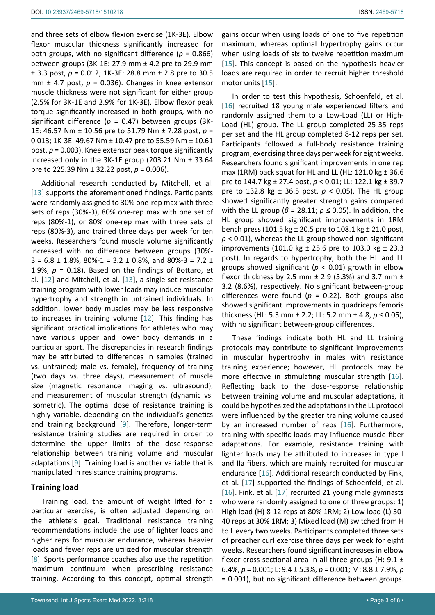and three sets of elbow flexion exercise (1K-3E). Elbow flexor muscular thickness significantly increased for both groups, with no significant difference ( $p = 0.866$ ) between groups (3K-1E: 27.9 mm ± 4.2 pre to 29.9 mm ± 3.3 post, *p* = 0.012; 1K-3E: 28.8 mm ± 2.8 pre to 30.5 mm  $\pm$  4.7 post,  $p = 0.036$ ). Changes in knee extensor muscle thickness were not significant for either group (2.5% for 3K-1E and 2.9% for 1K-3E). Elbow flexor peak torque significantly increased in both groups, with no significant difference (*p* = 0.47) between groups (3K-1E: 46.57 Nm ± 10.56 pre to 51.79 Nm ± 7.28 post, *p* = 0.013; 1K-3E: 49.67 Nm ± 10.47 pre to 55.59 Nm ± 10.61 post, *p* = 0.003). Knee extensor peak torque significantly increased only in the 3K-1E group (203.21 Nm ± 33.64 pre to 225.39 Nm ± 32.22 post, *p* = 0.006).

Additional research conducted by Mitchell, et al. [[13](#page-6-12)] supports the aforementioned findings. Participants were randomly assigned to 30% one-rep max with three sets of reps (30%-3), 80% one-rep max with one set of reps (80%-1), or 80% one-rep max with three sets of reps (80%-3), and trained three days per week for ten weeks. Researchers found muscle volume significantly increased with no difference between groups (30%-  $3 = 6.8 \pm 1.8$ %,  $80\% - 1 = 3.2 \pm 0.8$ %, and  $80\% - 3 = 7.2 \pm 1.8$ 1.9%,  $p = 0.18$ ). Based on the findings of Bottaro, et al. [[12](#page-6-11)] and Mitchell, et al. [[13](#page-6-12)], a single-set resistance training program with lower loads may induce muscular hypertrophy and strength in untrained individuals. In addition, lower body muscles may be less responsive to increases in training volume [\[12](#page-6-11)]. This finding has significant practical implications for athletes who may have various upper and lower body demands in a particular sport. The discrepancies in research findings may be attributed to differences in samples (trained vs. untrained; male vs. female), frequency of training (two days vs. three days), measurement of muscle size (magnetic resonance imaging vs. ultrasound), and measurement of muscular strength (dynamic vs. isometric). The optimal dose of resistance training is highly variable, depending on the individual's genetics and training background [\[9](#page-6-13)]. Therefore, longer-term resistance training studies are required in order to determine the upper limits of the dose-response relationship between training volume and muscular adaptations [[9](#page-6-13)]. Training load is another variable that is manipulated in resistance training programs.

#### **Training load**

Training load, the amount of weight lifted for a particular exercise, is often adjusted depending on the athlete's goal. Traditional resistance training recommendations include the use of lighter loads and higher reps for muscular endurance, whereas heavier loads and fewer reps are utilized for muscular strength [[8](#page-6-1)]. Sports performance coaches also use the repetition maximum continuum when prescribing resistance training. According to this concept, optimal strength gains occur when using loads of one to five repetition maximum, whereas optimal hypertrophy gains occur when using loads of six to twelve repetition maximum [[15](#page-6-14)]. This concept is based on the hypothesis heavier loads are required in order to recruit higher threshold motor units [[15](#page-6-14)].

In order to test this hypothesis, Schoenfeld, et al. [[16](#page-6-15)] recruited 18 young male experienced lifters and randomly assigned them to a Low-Load (LL) or High-Load (HL) group. The LL group completed 25-35 reps per set and the HL group completed 8-12 reps per set. Participants followed a full-body resistance training program, exercising three days per week for eight weeks. Researchers found significant improvements in one rep max (1RM) back squat for HL and LL (HL: 121.0 kg  $\pm$  36.6 pre to 144.7 kg ± 27.4 post, *p* < 0.01; LL: 122.1 kg ± 39.7 pre to 132.8 kg ± 36.5 post, *p* < 0.05). The HL group showed significantly greater strength gains compared with the LL group (*β* = 28.11; *p* ≤ 0.05). In addition, the HL group showed significant improvements in 1RM bench press (101.5 kg  $\pm$  20.5 pre to 108.1 kg  $\pm$  21.0 post, *p* < 0.01), whereas the LL group showed non-significant improvements (101.0 kg  $\pm$  25.6 pre to 103.0 kg  $\pm$  23.3 post). In regards to hypertrophy, both the HL and LL groups showed significant (*p* < 0.01) growth in elbow flexor thickness by 2.5 mm  $\pm$  2.9 (5.3%) and 3.7 mm  $\pm$ 3.2 (8.6%), respectively. No significant between-group differences were found ( $p = 0.22$ ). Both groups also showed significant improvements in quadriceps femoris thickness (HL: 5.3 mm ± 2.2; LL: 5.2 mm ± 4.8, *p* ≤ 0.05), with no significant between-group differences.

These findings indicate both HL and LL training protocols may contribute to significant improvements in muscular hypertrophy in males with resistance training experience; however, HL protocols may be more effective in stimulating muscular strength [\[16\]](#page-6-15). Reflecting back to the dose-response relationship between training volume and muscular adaptations, it could be hypothesized the adaptations in the LL protocol were influenced by the greater training volume caused by an increased number of reps [[16\]](#page-6-15). Furthermore, training with specific loads may influence muscle fiber adaptations. For example, resistance training with lighter loads may be attributed to increases in type I and IIa fibers, which are mainly recruited for muscular endurance [[16\]](#page-6-15). Additional research conducted by Fink, et al. [\[17](#page-6-16)] supported the findings of Schoenfeld, et al. [[16](#page-6-15)]. Fink, et al. [[17](#page-6-16)] recruited 21 young male gymnasts who were randomly assigned to one of three groups: 1) High load (H) 8-12 reps at 80% 1RM; 2) Low load (L) 30- 40 reps at 30% 1RM; 3) Mixed load (M) switched from H to L every two weeks. Participants completed three sets of preacher curl exercise three days per week for eight weeks. Researchers found significant increases in elbow flexor cross sectional area in all three groups (H: 9.1  $\pm$ 6.4%, *p* = 0.001; L: 9.4 ± 5.3%, *p* = 0.001; M: 8.8 ± 7.9%, *p* = 0.001), but no significant difference between groups.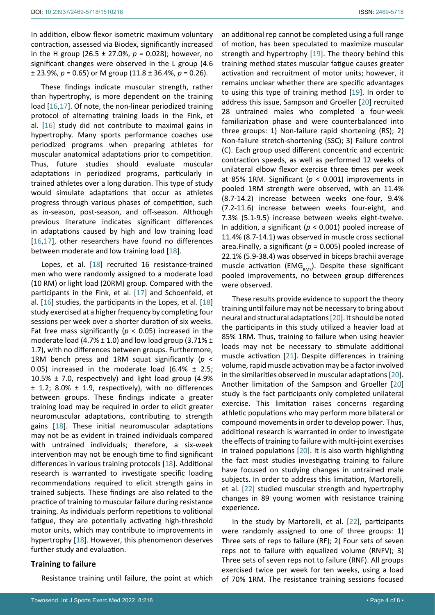In addition, elbow flexor isometric maximum voluntary contraction, assessed via Biodex, significantly increased in the H group (26.5 ± 27.0%, *p* = 0.028); however, no significant changes were observed in the L group (4.6 ± 23.9%, *p* = 0.65) or M group (11.8 ± 36.4%, *p* = 0.26).

These findings indicate muscular strength, rather than hypertrophy, is more dependent on the training load [[16,](#page-6-15)[17\]](#page-6-16). Of note, the non-linear periodized training protocol of alternating training loads in the Fink, et al. [[16](#page-6-15)] study did not contribute to maximal gains in hypertrophy. Many sports performance coaches use periodized programs when preparing athletes for muscular anatomical adaptations prior to competition. Thus, future studies should evaluate muscular adaptations in periodized programs, particularly in trained athletes over a long duration. This type of study would simulate adaptations that occur as athletes progress through various phases of competition, such as in-season, post-season, and off-season. Although previous literature indicates significant differences in adaptations caused by high and low training load [[16,](#page-6-15)[17\]](#page-6-16), other researchers have found no differences between moderate and low training load [\[18](#page-7-4)].

Lopes, et al. [\[18](#page-7-4)] recruited 16 resistance-trained men who were randomly assigned to a moderate load (10 RM) or light load (20RM) group. Compared with the participants in the Fink, et al. [[17\]](#page-6-16) and Schoenfeld, et al. [\[16](#page-6-15)] studies, the participants in the Lopes, et al. [\[18](#page-7-4)] study exercised at a higher frequency by completing four sessions per week over a shorter duration of six weeks. Fat free mass significantly (*p* < 0.05) increased in the moderate load (4.7%  $\pm$  1.0) and low load group (3.71%  $\pm$ 1.7), with no differences between groups. Furthermore, 1RM bench press and 1RM squat significantly (*p* < 0.05) increased in the moderate load  $(6.4\% \pm 2.5;$ 10.5% ± 7.0, respectively) and light load group (4.9% ± 1.2; 8.0% ± 1.9, respectively), with no differences between groups. These findings indicate a greater training load may be required in order to elicit greater neuromuscular adaptations, contributing to strength gains [[18\]](#page-7-4). These initial neuromuscular adaptations may not be as evident in trained individuals compared with untrained individuals; therefore, a six-week intervention may not be enough time to find significant differences in various training protocols [[18\]](#page-7-4). Additional research is warranted to investigate specific loading recommendations required to elicit strength gains in trained subjects. These findings are also related to the practice of training to muscular failure during resistance training. As individuals perform repetitions to volitional fatigue, they are potentially activating high-threshold motor units, which may contribute to improvements in hypertrophy [[18](#page-7-4)]. However, this phenomenon deserves further study and evaluation.

## **Training to failure**

Resistance training until failure, the point at which

an additional rep cannot be completed using a full range of motion, has been speculated to maximize muscular strength and hypertrophy [[19\]](#page-7-0). The theory behind this training method states muscular fatigue causes greater activation and recruitment of motor units; however, it remains unclear whether there are specific advantages to using this type of training method [[19\]](#page-7-0). In order to address this issue, Sampson and Groeller [[20](#page-7-1)] recruited 28 untrained males who completed a four-week familiarization phase and were counterbalanced into three groups: 1) Non-failure rapid shortening (RS); 2) Non-failure stretch-shortening (SSC); 3) Failure control (C). Each group used different concentric and eccentric contraction speeds, as well as performed 12 weeks of unilateral elbow flexor exercise three times per week at 85% 1RM. Significant ( $p < 0.001$ ) improvements in pooled 1RM strength were observed, with an 11.4% (8.7-14.2) increase between weeks one-four, 9.4% (7.2-11.6) increase between weeks four-eight, and 7.3% (5.1-9.5) increase between weeks eight-twelve. In addition, a significant (*p* < 0.001) pooled increase of 11.4% (8.7-14.1) was observed in muscle cross sectional area.Finally, a significant (*p* = 0.005) pooled increase of 22.1% (5.9-38.4) was observed in biceps brachii average muscle activation (EMG $_{RMS}$ ). Despite these significant pooled improvements, no between group differences were observed.

These results provide evidence to support the theory training until failure may not be necessary to bring about neural and structural adaptations [[20](#page-7-1)]. It should be noted the participants in this study utilized a heavier load at 85% 1RM. Thus, training to failure when using heavier loads may not be necessary to stimulate additional muscle activation [\[21](#page-7-2)]. Despite differences in training volume, rapid muscle activation may be a factor involved in the similarities observed in muscular adaptations [[20](#page-7-1)]. Another limitation of the Sampson and Groeller [[20](#page-7-1)] study is the fact participants only completed unilateral exercise. This limitation raises concerns regarding athletic populations who may perform more bilateral or compound movements in order to develop power. Thus, additional research is warranted in order to investigate the effects of training to failure with multi-joint exercises in trained populations [[20](#page-7-1)]. It is also worth highlighting the fact most studies investigating training to failure have focused on studying changes in untrained male subjects. In order to address this limitation, Martorelli, et al. [[22\]](#page-7-3) studied muscular strength and hypertrophy changes in 89 young women with resistance training experience.

In the study by Martorelli, et al. [[22](#page-7-3)], participants were randomly assigned to one of three groups: 1) Three sets of reps to failure (RF); 2) Four sets of seven reps not to failure with equalized volume (RNFV); 3) Three sets of seven reps not to failure (RNF). All groups exercised twice per week for ten weeks, using a load of 70% 1RM. The resistance training sessions focused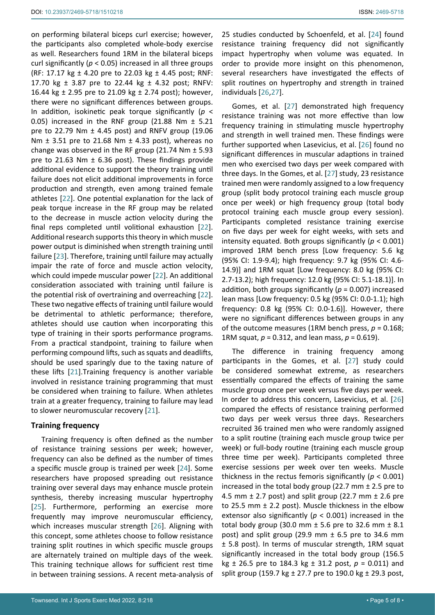on performing bilateral biceps curl exercise; however, the participants also completed whole-body exercise as well. Researchers found 1RM in the bilateral biceps curl significantly (*p* < 0.05) increased in all three groups (RF: 17.17 kg  $\pm$  4.20 pre to 22.03 kg  $\pm$  4.45 post; RNF: 17.70 kg ± 3.87 pre to 22.44 kg ± 4.32 post; RNFV: 16.44 kg ± 2.95 pre to 21.09 kg ± 2.74 post); however, there were no significant differences between groups. In addition, isokinetic peak torque significantly (*p* < 0.05) increased in the RNF group (21.88 Nm ± 5.21 pre to 22.79 Nm ± 4.45 post) and RNFV group (19.06 Nm  $\pm$  3.51 pre to 21.68 Nm  $\pm$  4.33 post), whereas no change was observed in the RF group (21.74 Nm  $\pm$  5.93 pre to 21.63 Nm ± 6.36 post). These findings provide additional evidence to support the theory training until failure does not elicit additional improvements in force production and strength, even among trained female athletes [\[22](#page-7-3)]. One potential explanation for the lack of peak torque increase in the RF group may be related to the decrease in muscle action velocity during the final reps completed until volitional exhaustion [[22](#page-7-3)]. Additional research supports this theory in which muscle power output is diminished when strength training until failure [[23\]](#page-7-8). Therefore, training until failure may actually impair the rate of force and muscle action velocity, which could impede muscular power [[22](#page-7-3)]. An additional consideration associated with training until failure is the potential risk of overtraining and overreaching [[22](#page-7-3)]. These two negative effects of training until failure would be detrimental to athletic performance; therefore, athletes should use caution when incorporating this type of training in their sports performance programs. From a practical standpoint, training to failure when performing compound lifts, such as squats and deadlifts, should be used sparingly due to the taxing nature of these lifts [\[21](#page-7-2)].Training frequency is another variable involved in resistance training programming that must be considered when training to failure. When athletes train at a greater frequency, training to failure may lead to slower neuromuscular recovery [[21\]](#page-7-2).

# **Training frequency**

Training frequency is often defined as the number of resistance training sessions per week; however, frequency can also be defined as the number of times a specific muscle group is trained per week [\[24](#page-7-5)]. Some researchers have proposed spreading out resistance training over several days may enhance muscle protein synthesis, thereby increasing muscular hypertrophy [[25](#page-7-9)]. Furthermore, performing an exercise more frequently may improve neuromuscular efficiency, which increases muscular strength [[26](#page-7-6)]. Aligning with this concept, some athletes choose to follow resistance training split routines in which specific muscle groups are alternately trained on multiple days of the week. This training technique allows for sufficient rest time in between training sessions. A recent meta-analysis of 25 studies conducted by Schoenfeld, et al. [[24](#page-7-5)] found resistance training frequency did not significantly impact hypertrophy when volume was equated. In order to provide more insight on this phenomenon, several researchers have investigated the effects of split routines on hypertrophy and strength in trained individuals [\[26](#page-7-6)[,27](#page-7-7)].

Gomes, et al. [[27\]](#page-7-7) demonstrated high frequency resistance training was not more effective than low frequency training in stimulating muscle hypertrophy and strength in well trained men. These findings were further supported when Lasevicius, et al. [\[26](#page-7-6)] found no significant differences in muscular adaptions in trained men who exercised two days per week compared with three days. In the Gomes, et al. [[27\]](#page-7-7) study, 23 resistance trained men were randomly assigned to a low frequency group (split body protocol training each muscle group once per week) or high frequency group (total body protocol training each muscle group every session). Participants completed resistance training exercise on five days per week for eight weeks, with sets and intensity equated. Both groups significantly (*p* < 0.001) improved 1RM bench press [Low frequency: 5.6 kg (95% CI: 1.9-9.4); high frequency: 9.7 kg (95% CI: 4.6- 14.9)] and 1RM squat [Low frequency: 8.0 kg (95% CI: 2.7-13.2); high frequency: 12.0 kg (95% CI: 5.1-18.1)]. In addition, both groups significantly (*p* = 0.007) increased lean mass [Low frequency: 0.5 kg (95% CI: 0.0-1.1); high frequency: 0.8 kg (95% CI: 0.0-1.6)]. However, there were no significant differences between groups in any of the outcome measures (1RM bench press, *p* = 0.168; 1RM squat, *p* = 0.312, and lean mass, *p* = 0.619).

The difference in training frequency among participants in the Gomes, et al. [\[27](#page-7-7)] study could be considered somewhat extreme, as researchers essentially compared the effects of training the same muscle group once per week versus five days per week. In order to address this concern, Lasevicius, et al. [\[26](#page-7-6)] compared the effects of resistance training performed two days per week versus three days. Researchers recruited 36 trained men who were randomly assigned to a split routine (training each muscle group twice per week) or full-body routine (training each muscle group three time per week). Participants completed three exercise sessions per week over ten weeks. Muscle thickness in the rectus femoris significantly (*p* < 0.001) increased in the total body group (22.7 mm ± 2.5 pre to 4.5 mm  $\pm$  2.7 post) and split group (22.7 mm  $\pm$  2.6 pre to 25.5 mm ± 2.2 post). Muscle thickness in the elbow extensor also significantly (*p* < 0.001) increased in the total body group (30.0 mm  $\pm$  5.6 pre to 32.6 mm  $\pm$  8.1 post) and split group (29.9 mm  $\pm$  6.5 pre to 34.6 mm ± 5.8 post). In terms of muscular strength, 1RM squat significantly increased in the total body group (156.5 kg ± 26.5 pre to 184.3 kg ± 31.2 post, *p* = 0.011) and split group (159.7 kg  $\pm$  27.7 pre to 190.0 kg  $\pm$  29.3 post,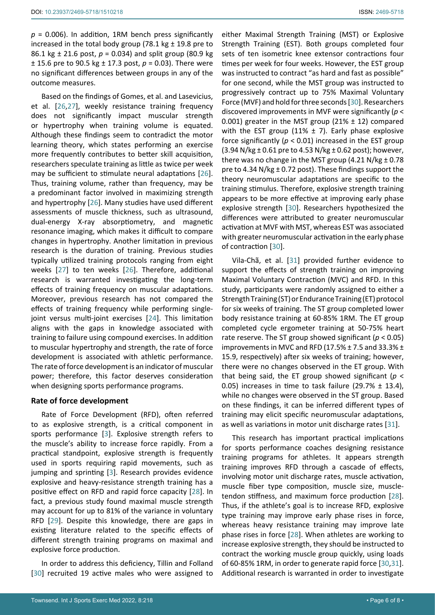$p = 0.006$ ). In addition, 1RM bench press significantly increased in the total body group (78.1 kg  $\pm$  19.8 pre to 86.1 kg ± 21.6 post, *p* = 0.034) and split group (80.9 kg ± 15.6 pre to 90.5 kg ± 17.3 post, *p* = 0.03). There were no significant differences between groups in any of the outcome measures.

Based on the findings of Gomes, et al. and Lasevicius, et al. [\[26](#page-7-6)[,27\]](#page-7-7), weekly resistance training frequency does not significantly impact muscular strength or hypertrophy when training volume is equated. Although these findings seem to contradict the motor learning theory, which states performing an exercise more frequently contributes to better skill acquisition, researchers speculate training as little as twice per week may be sufficient to stimulate neural adaptations [\[26](#page-7-6)]. Thus, training volume, rather than frequency, may be a predominant factor involved in maximizing strength and hypertrophy [[26](#page-7-6)]. Many studies have used different assessments of muscle thickness, such as ultrasound, dual-energy X-ray absorptiometry, and magnetic resonance imaging, which makes it difficult to compare changes in hypertrophy. Another limitation in previous research is the duration of training. Previous studies typically utilized training protocols ranging from eight weeks [[27](#page-7-7)] to ten weeks [[26\]](#page-7-6). Therefore, additional research is warranted investigating the long-term effects of training frequency on muscular adaptations. Moreover, previous research has not compared the effects of training frequency while performing single-joint versus multi-joint exercises [\[24](#page-7-5)]. This limitation aligns with the gaps in knowledge associated with training to failure using compound exercises. In addition to muscular hypertrophy and strength, the rate of force development is associated with athletic performance. The rate of force development is an indicator of muscular power; therefore, this factor deserves consideration when designing sports performance programs.

## **Rate of force development**

Rate of Force Development (RFD), often referred to as explosive strength, is a critical component in sports performance [[3](#page-6-3)]. Explosive strength refers to the muscle's ability to increase force rapidly. From a practical standpoint, explosive strength is frequently used in sports requiring rapid movements, such as jumping and sprinting [[3](#page-6-3)]. Research provides evidence explosive and heavy-resistance strength training has a positive effect on RFD and rapid force capacity [\[28\]](#page-7-12). In fact, a previous study found maximal muscle strength may account for up to 81% of the variance in voluntary RFD [[29\]](#page-7-13). Despite this knowledge, there are gaps in existing literature related to the specific effects of different strength training programs on maximal and explosive force production.

In order to address this deficiency, Tillin and Folland [[30](#page-7-10)] recruited 19 active males who were assigned to

either Maximal Strength Training (MST) or Explosive Strength Training (EST). Both groups completed four sets of ten isometric knee extensor contractions four times per week for four weeks. However, the EST group was instructed to contract "as hard and fast as possible" for one second, while the MST group was instructed to progressively contract up to 75% Maximal Voluntary Force (MVF) and hold for three seconds [[30\]](#page-7-10). Researchers discovered improvements in MVF were significantly (*p* < 0.001) greater in the MST group (21%  $\pm$  12) compared with the EST group (11%  $\pm$  7). Early phase explosive force significantly (*p* < 0.01) increased in the EST group  $(3.94 \text{ N/kg} \pm 0.61 \text{ pre to } 4.53 \text{ N/kg} \pm 0.62 \text{ post})$ ; however, there was no change in the MST group  $(4.21 \text{ N/kg} \pm 0.78)$ pre to 4.34 N/kg  $\pm$  0.72 post). These findings support the theory neuromuscular adaptations are specific to the training stimulus. Therefore, explosive strength training appears to be more effective at improving early phase explosive strength [\[30\]](#page-7-10). Researchers hypothesized the differences were attributed to greater neuromuscular activation at MVF with MST, whereas EST was associated with greater neuromuscular activation in the early phase of contraction [[30\]](#page-7-10).

Vila-Chã, et al. [\[31](#page-7-11)] provided further evidence to support the effects of strength training on improving Maximal Voluntary Contraction (MVC) and RFD. In this study, participants were randomly assigned to either a Strength Training (ST) or Endurance Training (ET) protocol for six weeks of training. The ST group completed lower body resistance training at 60-85% 1RM. The ET group completed cycle ergometer training at 50-75% heart rate reserve. The ST group showed significant (*p* < 0.05) improvements in MVC and RFD (17.5% ± 7.5 and 33.3% ± 15.9, respectively) after six weeks of training; however, there were no changes observed in the ET group. With that being said, the ET group showed significant (*p* < 0.05) increases in time to task failure (29.7%  $\pm$  13.4), while no changes were observed in the ST group. Based on these findings, it can be inferred different types of training may elicit specific neuromuscular adaptations, as well as variations in motor unit discharge rates [\[31](#page-7-11)].

This research has important practical implications for sports performance coaches designing resistance training programs for athletes. It appears strength training improves RFD through a cascade of effects, involving motor unit discharge rates, muscle activation, muscle fiber type composition, muscle size, muscletendon stiffness, and maximum force production [\[28\]](#page-7-12). Thus, if the athlete's goal is to increase RFD, explosive type training may improve early phase rises in force, whereas heavy resistance training may improve late phase rises in force [[28\]](#page-7-12). When athletes are working to increase explosive strength, they should be instructed to contract the working muscle group quickly, using loads of 60-85% 1RM, in order to generate rapid force [[30](#page-7-10)[,31\]](#page-7-11). Additional research is warranted in order to investigate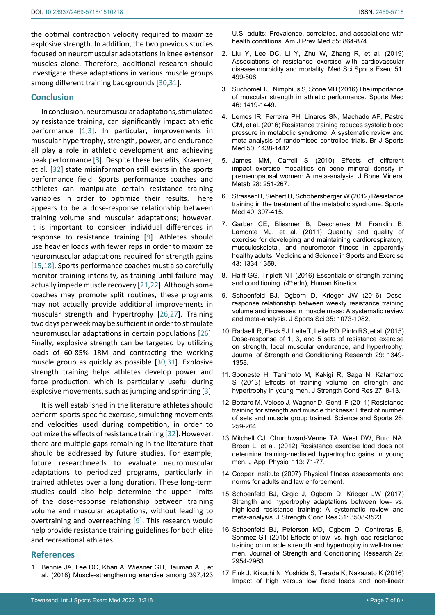the optimal contraction velocity required to maximize explosive strength. In addition, the two previous studies focused on neuromuscular adaptations in knee extensor muscles alone. Therefore, additional research should investigate these adaptations in various muscle groups among different training backgrounds [\[30](#page-7-10)[,31](#page-7-11)].

### **Conclusion**

In conclusion, neuromuscular adaptations, stimulated by resistance training, can significantly impact athletic performance [[1](#page-6-2)[,3\]](#page-6-3). In particular, improvements in muscular hypertrophy, strength, power, and endurance all play a role in athletic development and achieving peak performance [[3](#page-6-3)]. Despite these benefits, Kraemer, et al. [\[32](#page-7-14)] state misinformation still exists in the sports performance field. Sports performance coaches and athletes can manipulate certain resistance training variables in order to optimize their results. There appears to be a dose-response relationship between training volume and muscular adaptations; however, it is important to consider individual differences in response to resistance training [[9](#page-6-13)]. Athletes should use heavier loads with fewer reps in order to maximize neuromuscular adaptations required for strength gains [[15](#page-6-14),[18\]](#page-7-4). Sports performance coaches must also carefully monitor training intensity, as training until failure may actually impede muscle recovery [[21,](#page-7-2)[22](#page-7-3)]. Although some coaches may promote split routines, these programs may not actually provide additional improvements in muscular strength and hypertrophy [[26,](#page-7-6)[27\]](#page-7-7). Training two days per week may be sufficient in order to stimulate neuromuscular adaptations in certain populations [\[26](#page-7-6)]. Finally, explosive strength can be targeted by utilizing loads of 60-85% 1RM and contracting the working muscle group as quickly as possible [[30](#page-7-10),[31\]](#page-7-11). Explosive strength training helps athletes develop power and force production, which is particularly useful during explosive movements, such as jumping and sprinting [[3](#page-6-3)].

It is well established in the literature athletes should perform sports-specific exercise, simulating movements and velocities used during competition, in order to optimize the effects of resistance training [[32\]](#page-7-14). However, there are multiple gaps remaining in the literature that should be addressed by future studies. For example, future researchneeds to evaluate neuromuscular adaptations to periodized programs, particularly in trained athletes over a long duration. These long-term studies could also help determine the upper limits of the dose-response relationship between training volume and muscular adaptations, without leading to overtraining and overreaching [[9](#page-6-13)]. This research would help provide resistance training guidelines for both elite and recreational athletes.

## **References**

<span id="page-6-2"></span>1. [Bennie JA, Lee DC, Khan A, Wiesner GH, Bauman AE, et](https://pubmed.ncbi.nlm.nih.gov/30458949/)  [al. \(2018\) Muscle-strengthening exercise among 397,423](https://pubmed.ncbi.nlm.nih.gov/30458949/) 

[U.S. adults: Prevalence, correlates, and associations with](https://pubmed.ncbi.nlm.nih.gov/30458949/)  [health conditions. Am J Prev Med 55: 864-874.](https://pubmed.ncbi.nlm.nih.gov/30458949/)

- <span id="page-6-4"></span>2. [Liu Y, Lee DC, Li Y, Zhu W, Zhang R, et al. \(2019\)](https://pubmed.ncbi.nlm.nih.gov/30376511/)  [Associations of resistance exercise with cardiovascular](https://pubmed.ncbi.nlm.nih.gov/30376511/)  [disease morbidity and mortality. Med Sci Sports Exerc 51:](https://pubmed.ncbi.nlm.nih.gov/30376511/)  [499-508.](https://pubmed.ncbi.nlm.nih.gov/30376511/)
- <span id="page-6-3"></span>3. [Suchomel TJ, Nimphius S, Stone MH \(2016\) The importance](https://pubmed.ncbi.nlm.nih.gov/26838985/)  [of muscular strength in athletic performance. Sports Med](https://pubmed.ncbi.nlm.nih.gov/26838985/)  [46: 1419-1449.](https://pubmed.ncbi.nlm.nih.gov/26838985/)
- <span id="page-6-5"></span>4. [Lemes IR, Ferreira PH, Linares SN, Machado AF, Pastre](https://pubmed.ncbi.nlm.nih.gov/26964146/)  [CM, et al. \(2016\) Resistance training reduces systolic blood](https://pubmed.ncbi.nlm.nih.gov/26964146/)  [pressure in metabolic syndrome: A systematic review and](https://pubmed.ncbi.nlm.nih.gov/26964146/)  [meta-analysis of randomised controlled trials. Br J Sports](https://pubmed.ncbi.nlm.nih.gov/26964146/)  [Med 50: 1438-1442.](https://pubmed.ncbi.nlm.nih.gov/26964146/)
- <span id="page-6-6"></span>5. [James MM, Carroll S \(2010\) Effects of different](https://pubmed.ncbi.nlm.nih.gov/20013013/)  [impact exercise modalities on bone mineral density in](https://pubmed.ncbi.nlm.nih.gov/20013013/)  [premenopausal women: A meta-analysis. J Bone Mineral](https://pubmed.ncbi.nlm.nih.gov/20013013/)  [Metab 28: 251-267.](https://pubmed.ncbi.nlm.nih.gov/20013013/)
- <span id="page-6-7"></span>6. Strasser B, Siebert U, Schobersberger W (2012) Resistance training in the treatment of the metabolic syndrome. Sports Med 40: 397-415.
- <span id="page-6-0"></span>7. [Garber CE, Blissmer B, Deschenes M, Franklin B,](https://academiccommons.columbia.edu/doi/10.7916/D8CZ3K08/download)  [Lamonte MJ, et al. \(2011\) Quantity and quality of](https://academiccommons.columbia.edu/doi/10.7916/D8CZ3K08/download)  [exercise for developing and maintaining cardiorespiratory,](https://academiccommons.columbia.edu/doi/10.7916/D8CZ3K08/download)  [musculoskeletal, and neuromotor fitness in apparently](https://academiccommons.columbia.edu/doi/10.7916/D8CZ3K08/download)  [healthy adults. Medicine and Science in Sports and Exercise](https://academiccommons.columbia.edu/doi/10.7916/D8CZ3K08/download)  [43: 1334-1359.](https://academiccommons.columbia.edu/doi/10.7916/D8CZ3K08/download)
- <span id="page-6-1"></span>8. Halff GG, Triplett NT (2016) Essentials of strength training and conditioning. (4<sup>th</sup> edn), Human Kinetics.
- <span id="page-6-13"></span>9. [Schoenfeld BJ, Ogborn D, Krieger JW \(2016\) Dose](https://pubmed.ncbi.nlm.nih.gov/27433992/)[response relationship between weekly resistance training](https://pubmed.ncbi.nlm.nih.gov/27433992/)  [volume and increases in muscle mass: A systematic review](https://pubmed.ncbi.nlm.nih.gov/27433992/)  [and meta-analysis. J Sports Sci 35: 1073-1082.](https://pubmed.ncbi.nlm.nih.gov/27433992/)
- <span id="page-6-8"></span>10. [Radaelli R, Fleck SJ, Leite T, Leite RD, Pinto RS, et al. \(2015\)](https://journals.lww.com/nsca-jscr/Fulltext/)  [Dose-response of 1, 3, and 5 sets of resistance exercise](https://journals.lww.com/nsca-jscr/Fulltext/)  [on strength, local muscular endurance, and hypertrophy.](https://journals.lww.com/nsca-jscr/Fulltext/)  [Journal of Strength and Conditioning Research 29: 1349-](https://journals.lww.com/nsca-jscr/Fulltext/) [1358.](https://journals.lww.com/nsca-jscr/Fulltext/)
- <span id="page-6-9"></span>11. [Sooneste H, Tanimoto M, Kakigi R, Saga N, Katamoto](https://pubmed.ncbi.nlm.nih.gov/23249767/)  [S \(2013\) Effects of training volume on strength and](https://pubmed.ncbi.nlm.nih.gov/23249767/)  [hypertrophy in young men. J Strength Cond Res 27: 8-13.](https://pubmed.ncbi.nlm.nih.gov/23249767/)
- <span id="page-6-11"></span>12. Bottaro M, Veloso J, Wagner D, Gentil P (2011) Resistance training for strength and muscle thickness: Effect of number of sets and muscle group trained. Science and Sports 26: 259-264.
- <span id="page-6-12"></span>13. [Mitchell CJ, Churchward-Venne TA, West DW, Burd NA,](https://www.ncbi.nlm.nih.gov/pmc/articles/PMC3404827/)  [Breen L, et al. \(2012\) Resistance exercise load does not](https://www.ncbi.nlm.nih.gov/pmc/articles/PMC3404827/)  [determine training-mediated hypertrophic gains in young](https://www.ncbi.nlm.nih.gov/pmc/articles/PMC3404827/)  [men. J Appl Physiol 113: 71-77.](https://www.ncbi.nlm.nih.gov/pmc/articles/PMC3404827/)
- <span id="page-6-10"></span>14. Cooper Institute (2007) Physical fitness assessments and norms for adults and law enforcement.
- <span id="page-6-14"></span>15. [Schoenfeld BJ, Grgic J, Ogborn D, Krieger JW \(2017\)](https://pubmed.ncbi.nlm.nih.gov/28834797/)  [Strength and hypertrophy adaptations between low- vs.](https://pubmed.ncbi.nlm.nih.gov/28834797/)  [high-load resistance training: A systematic review and](https://pubmed.ncbi.nlm.nih.gov/28834797/)  [meta-analysis. J Strength Cond Res 31: 3508-3523.](https://pubmed.ncbi.nlm.nih.gov/28834797/)
- <span id="page-6-15"></span>16. [Schoenfeld BJ, Peterson MD, Ogborn D, Contreras B,](https://journals.lww.com/nsca-jscr/Fulltext/2015/)  [Sonmez GT \(2015\) Effects of low- vs. high-load resistance](https://journals.lww.com/nsca-jscr/Fulltext/2015/)  [training on muscle strength and hypertrophy in well-trained](https://journals.lww.com/nsca-jscr/Fulltext/2015/)  [men. Journal of Strength and Conditioning Research 29:](https://journals.lww.com/nsca-jscr/Fulltext/2015/)  [2954-2963.](https://journals.lww.com/nsca-jscr/Fulltext/2015/)
- <span id="page-6-16"></span>17. [Fink J, Kikuchi N, Yoshida S, Terada K, Nakazato K \(2016\)](https://www.ncbi.nlm.nih.gov/pmc/articles/PMC4899398/)  [Impact of high versus low fixed loads and non-linear](https://www.ncbi.nlm.nih.gov/pmc/articles/PMC4899398/)